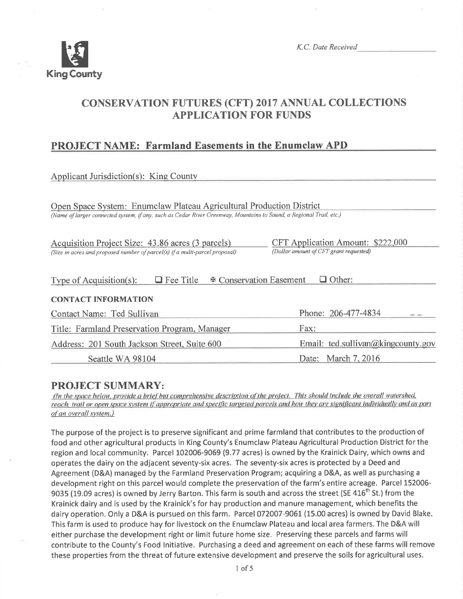

# CONSERVATTON FUTURES (CFT) 2017 ANNUAL COLLECTIONS APPLICATION FOR FUNDS

# PROJECT NAME: Farmland Easements in the Enumclaw APD

| <b>Applicant Jurisdiction(s): King County</b>                                                                                                                                               |                                                                             |  |  |  |  |
|---------------------------------------------------------------------------------------------------------------------------------------------------------------------------------------------|-----------------------------------------------------------------------------|--|--|--|--|
| Open Space System: Enumclaw Plateau Agricultural Production District<br>(Name of larger connected system, if any, such as Cedar River Greenway, Mountains to Sound, a Regional Trail, etc.) |                                                                             |  |  |  |  |
| Acquisition Project Size: 43.86 acres (3 parcels)<br>(Size in acres and proposed number of parcel(s) if a multi-parcel proposal)                                                            | CFT Application Amount: \$222,000<br>(Dollar amount of CFT grant requested) |  |  |  |  |
| <b><math>\Phi</math> Conservation Easement</b><br>$\Box$ Other:<br>$\Box$ Fee Title<br>Type of Acquisition(s):                                                                              |                                                                             |  |  |  |  |
| <b>CONTACT INFORMATION</b>                                                                                                                                                                  |                                                                             |  |  |  |  |
| Contact Name: Ted Sullivan                                                                                                                                                                  | Phone: 206-477-4834<br><b>CALL CARDS</b>                                    |  |  |  |  |
| Title: Farmland Preservation Program, Manager                                                                                                                                               | Fax:                                                                        |  |  |  |  |
| Address: 201 South Jackson Street, Suite 600                                                                                                                                                | Email: ted.sullivan@kingcounty.gov                                          |  |  |  |  |
| Seattle WA 98104                                                                                                                                                                            | Date: March 7, 2016                                                         |  |  |  |  |

**PROJECT SUMMARY:**<br>(In the space below, provide a brief but comprehensive description of the project. This should include the overall watershed, reach, trail or open space system if appropriate and specific targeted parcels and how they are significant individually and as part of an overall system.)

The purpose of the project is to preserve significant and prime farmland that contributes to the production of food and other agricultural products in King County's Enumclaw Plateau Agricultural Production District for the region and local community. Parcel L02006-9069 (9.77 acres) is owned by the Krainick Dairy, which owns and operates the dairy on the adjacent seventy-six acres. The seventy-six acres is protected by a Deed and Agreement (D&A) managed by the Farmland Preservation Program; acquiring a D&A, as well as purchasing <sup>a</sup> development right on this parcel would complete the preservation of the farm's entire acreage. Parcel 152006- 9035 (19.09 acres) is owned by Jerry Barton. This farm is south and across the street (SE 416<sup>th</sup> St.) from the Krainick dairy and is used by the Krainick's for hay production and manure management, which benefits the dairy operation. Only a D&A is pursued on this farm. Parcel 072007-9061 (15.00 acres) is owned by David Blake. This farm is used to produce hay for livestock on the Enumclaw Plateau and local area farmers. The D&A will either purchase the development right or limit future home size. Preserving these parcels and farms will contribute to the County's Food lnitiative. Purchasing a deed and agreement on each of these farms will remove these properties from the threat of future extensive development and preserve the soils for agricultural uses.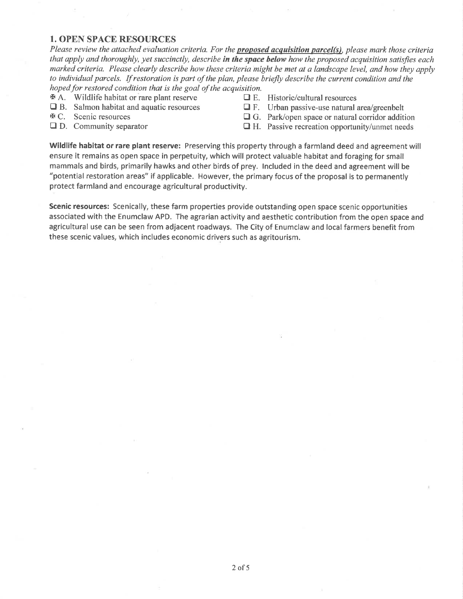## 1. OPEN SPACE RESOURCES

Please review the attached evaluation criteria. For the **proposed acquisition parcel(s)**, please mark those criteria that apply and thoroughly, yet succinctly, describe in the space below how the proposed acquisition satisfies each marked criteria. Please clearly describe how these criteria might be met at a landscape level, and how they apply to individual parcels. If restoration is part of the plan, please briefly describe the current condition and the hoped for restored condition that is the goal of the acquisition.

 $\Phi$  A. Wildlife habitat or rare plant reserve  $\Box$  E. Historic/cultural resources  $\Box$  B. Salmon habitat and aquatic resources  $\Box$  F. Urban passive-use natural area/greenbelt

- **Theory B. Salmon habitat and aquatic resources**  $\mathbb{F}$ **. C.** Scenic resources
- 
- 
- 
- 
- $\Box$  G. Park/open space or natural corridor addition
- $\Box$  D. Community separator  $\Box$  H. Passive recreation opportunity/unmet needs

Wildlife habitat or rare plant reserve: Preserving this property through a farmland deed and agreement will ensure it remains as open space in perpetuíty, which will protect valuable habitat and foraging for small mammals and birds, primarily hawks and other birds of prey. lncluded in the deed and agreement will be "potential restoration areas" if applicable. However, the primary focus of the proposal is to permanently protect farmland and encourage agricultural productivity.

Scenic resources: Scenically, these farm properties provide outstanding open space scenic opportunities associated with the Enumclaw APD. The agrarian activity and aesthetic contribution from the open space and agricultural use can be seen from adjacent roadways. The City of Enumclaw and local farmers benefit from these scenic values, which includes economic drivers such as agritourism.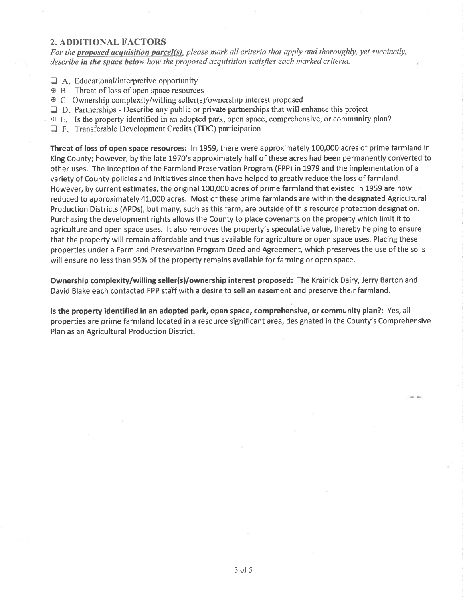## 2. ADDITIONAL FACTORS

For the proposed acquisition parcel(s), please mark all criteria that apply and thoroughly, yet succinctly, describe in the space below how the proposed acquisition satisfies each marked criteria.

- $\Box$  A. Educational/interpretive opportunity
- **EXECUTE:** Threat of loss of open space resources
- → D. Threat of loss of open space researces
- $\Box$  D. Partnerships Describe any public or private partnerships that will enhance this project
- E. Is the property identified in an adopted park, open space, comprehensive, or community plan?
- $\Box$  F. Transferable Development Credits (TDC) participation

Threat of loss of open space resources: In 1959, there were approximately 100,000 acres of prime farmland in King County; however, by the late 1970's approximately half of these acres had been permanently converted to other uses. The inception of the Farmland Preservation Program (FPP) in 1979 and the implementation of <sup>a</sup> variety of County policies and initiatives since then have helped to greatly reduce the loss of farmland. However, by current estimates, the original 100,000 acres of prime farmland that existed in 1959 are now reduced to approximately 4L,000 acres. Most of these prime farmlands are within the designated Agricultural Production Districts (APDs), but many, such as this farm, are outside of this resource protection designation. Purchasing the development rights allows the County to place covenants on the property which limit it to agriculture and open space uses. lt also removes the property's speculative value, thereby helping to ensure that the property will remain affordable and thus available for agriculture or open space uses. Placing these properties under a Farmland Preservation Program Deed and Agreement, which preserves the use of the soils will ensure no less than 95% of the property remains available for farming or open space.

Ownership complexity/willing seller(s)/ownership interest proposed: The Krainick Dairy, Jerry Barton and David Blake each contacted FPP staff with a desire to sell an easement and preserve their farmland.

ls the property identified in an adopted park, open space, comprehensive, or community plan?: Yes, all properties are prime farmland located in a resource significant area, designated in the County's Comprehensive Plan as an Agricultural Production District.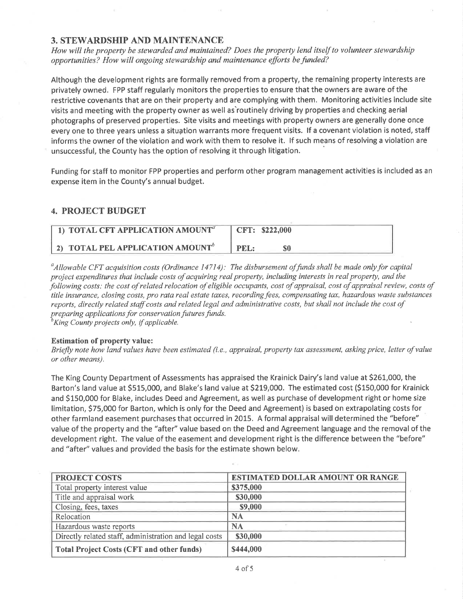### 3. STEWARDSHIP AND MAINTENANCE

How will the property be stewarded and maintained? Does the property lend itself to volunteer stewardship opportunities? How will ongoing stewardship and maintenance efforts be funded?

Although the development rights are formally removed from a property, the remaining property interests are privately owned. FPP staff regularly monitors the properties to ensure that the owners are aware of the restrictive covenants that are on their property and are complying with them. Monitoring activities include site visits and meeting with the property owner as well as'routinely driving by properties and checking aerial photographs of preserved properties. Site visits and meetings with property owners are generally done once every one to three years unless a situation warrants more frequent visits. If a covenant violation is noted, staff informs the owner of the violation and work with them to resolve it. lf such means of resolving a violation are unsuccessful, the County has the option of resolving it through litigation.

Funding for staff to monitor FPP properties and perform other program management activities is included as an expense item in the County's annual budget.

# 4. PROJECT BUDGET

| $\pm$ 1) TOTAL CFT APPLICATION AMOUNT $^a$   | CFT: \$222,000 |
|----------------------------------------------|----------------|
| 2) TOTAL PEL APPLICATION AMOUNT <sup>"</sup> | PEI            |

 $^a$ Allowable CFT acquisition costs (Ordinance 14714): The disbursement of funds shall be made only for capital project expenditures that include costs of acquiring real property, including interests in real property, and the þllowing costs: the cost of related relocation of eligible occupants, cost of appraísal, cost of appraisal review, costs of title insurance, closing costs, pro rata real estate taxes, recording fees, compensating tax, hazardous waste substances reports, directly related staff costs and related legal and administrative costs, but shall not include the cost of preparing applications for conservation futures funds.

 ${}^{\scriptscriptstyle b}$ King County projects only, if applicable.

#### Estimation of property value:

Briefly note how land values have been estimated (i.e., appraisal, property tax assessment, asking price, letter of value or other means).

The King County Department of Assessments has appraised the Krainick Dairy's land value at 5261,000, the Barton's land value at 5515,000, and Blake's land value at 5219,000. The estimated cost (5150,000 for Krainick and S150,000 for Blake, includes Deed and Agreement, as well as purchase of development right or home size limitation, 575,000 for Barton, which is only for the Deed and Agreement) is based on extrapolating costs for other farmland easement purchases that occurred in 2015. A formal appraisal will determined the "before" value of the property and the "after" value based on the Deed and Agreement language and the removal of the development right. The value of the easement and development right is the difference between the "before" and "after" values and provided the basis for the estimate shown below.

| <b>PROJECT COSTS</b>                                   | <b>ESTIMATED DOLLAR AMOUNT OR RANGE</b> |
|--------------------------------------------------------|-----------------------------------------|
| Total property interest value                          | \$375,000                               |
| Title and appraisal work                               | \$30,000                                |
| Closing, fees, taxes                                   | \$9,000                                 |
| Relocation                                             | NA                                      |
| Hazardous waste reports                                | <b>NA</b>                               |
| Directly related staff, administration and legal costs | \$30,000                                |
| <b>Total Project Costs (CFT and other funds)</b>       | \$444,000                               |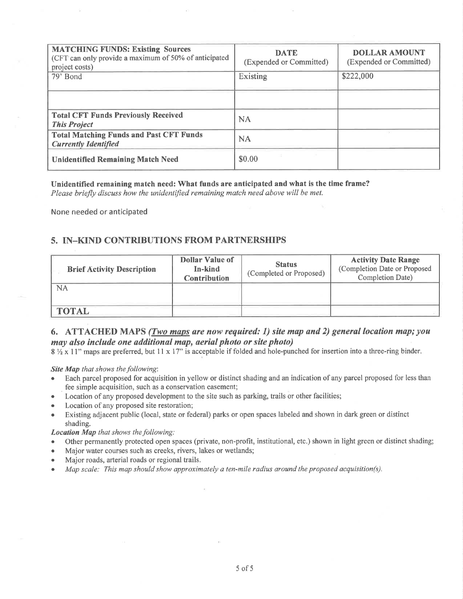| <b>MATCHING FUNDS: Existing Sources</b><br>(CFT can only provide a maximum of 50% of anticipated<br>project costs)<br>79' Bond | <b>DATE</b><br>(Expended or Committed)<br>Existing | <b>DOLLAR AMOUNT</b><br>(Expended or Committed)<br>\$222,000 |
|--------------------------------------------------------------------------------------------------------------------------------|----------------------------------------------------|--------------------------------------------------------------|
| <b>Total CFT Funds Previously Received</b><br><b>This Project</b>                                                              | <b>NA</b>                                          |                                                              |
| <b>Total Matching Funds and Past CFT Funds</b><br><b>Currently Identified</b>                                                  | <b>NA</b>                                          |                                                              |
| <b>Unidentified Remaining Match Need</b>                                                                                       | \$0.00                                             |                                                              |

#### Unidentified remaining match need: What funds are anticipated and what is the time frame?

Please briefly discuss how the unidentified remaining match need above will be met.

None needed or anticipated

# 5. IN-KIND CONTRIBUTIONS FROM PARTNERSHIPS

| <b>Brief Activity Description</b> | <b>Dollar Value of</b><br>In-kind<br><b>Contribution</b> | <b>Status</b><br>(Completed or Proposed) | <b>Activity Date Range</b><br>(Completion Date or Proposed<br>Completion Date) |
|-----------------------------------|----------------------------------------------------------|------------------------------------------|--------------------------------------------------------------------------------|
| NA                                |                                                          |                                          |                                                                                |
| <b>TOTAL</b>                      |                                                          |                                          |                                                                                |

# 6. ATTACHED MAPS (*Two maps are now required: 1*) site map and 2) general location map; you may also include one additional map, aerial photo or site photo)

 $8\frac{1}{2} \times 11$ " maps are preferred, but 11 x 17" is acceptable if folded and hole-punched for insertion into a three-ring binder.

#### **Site Map** that shows the following:

- Each parcel proposed for acquisition in yellow or distinct shading and an indication of any parcel proposed for less than fee simple acquisition, such as a conservation easement;
- Location of any proposed development to the site such as parking, trails or other facilities;
- Location of any proposed site restoration;  $\bullet$
- Existing adjacent public (local, state or federal) parks or open spaces labeled and shown in dark green or distinct shading.

#### **Location Map** that shows the following:

- Other permanently protected open spaces (private, non-profit, institutional, etc.) shown in light green or distinct shading;
- Major water courses such as creeks, rivers, lakes or wetlands;
- Major roads, arterial roads or regional trails.
- Map scale: This map should show approximately a ten-mile radius around the proposed acquisition(s).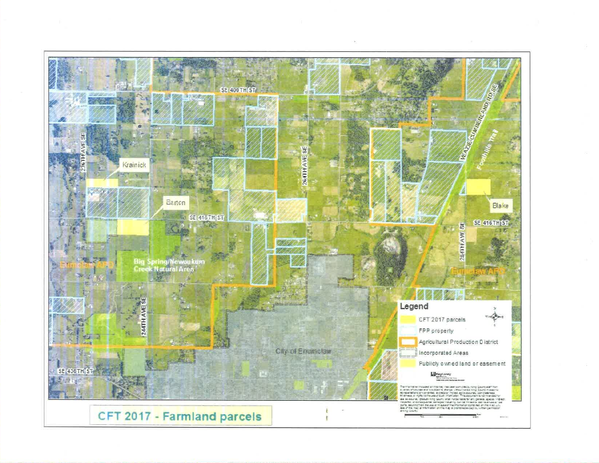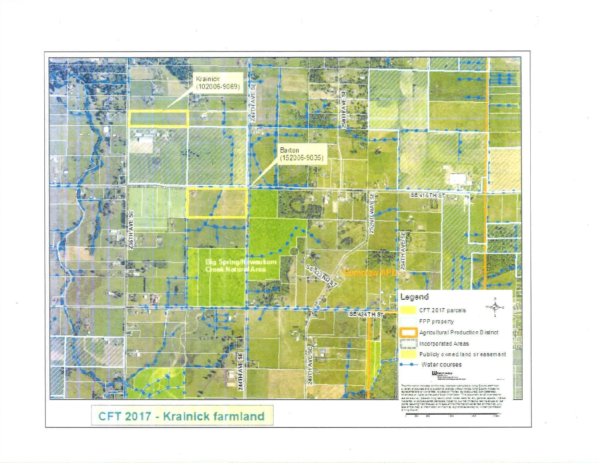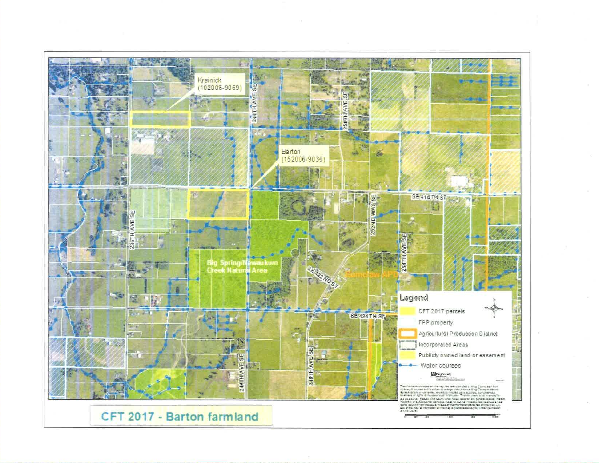